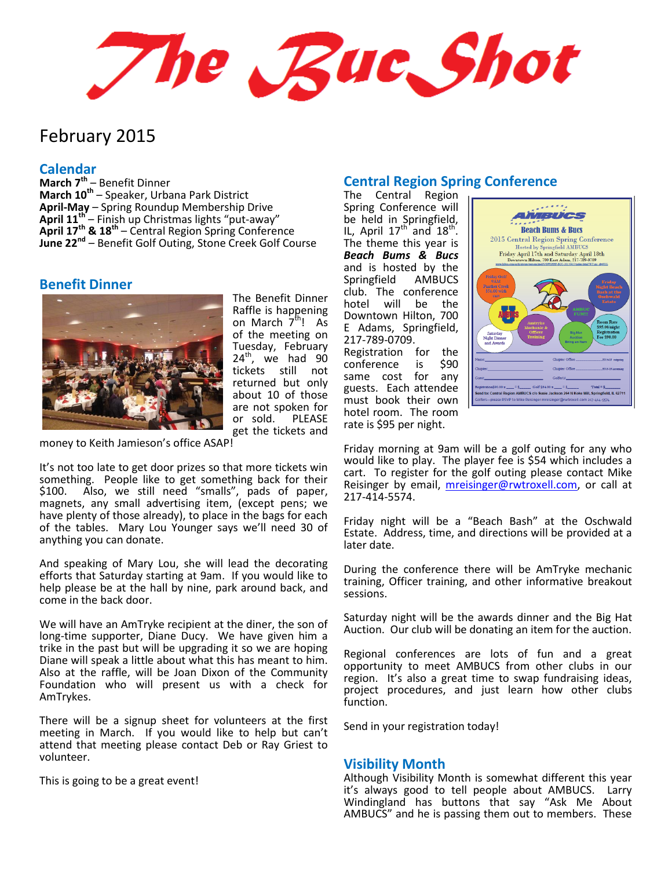The Rue Shot

# February 2015

#### **Calendar**

**March 7th** – Benefit Dinner **March 10th** – Speaker, Urbana Park District **April-May** – Spring Roundup Membership Drive **April 11th** – Finish up Christmas lights "put-away" **April 17th & 18th** – Central Region Spring Conference **June 22nd** – Benefit Golf Outing, Stone Creek Golf Course

#### **Benefit Dinner**



The Benefit Dinner Raffle is happening on March 7<sup>th</sup>! As of the meeting on Tuesday, February  $24<sup>th</sup>$ , we had  $90$ tickets still not returned but only about 10 of those are not spoken for or sold. PLEASE get the tickets and

money to Keith Jamieson's office ASAP!

It's not too late to get door prizes so that more tickets win something. People like to get something back for their \$100. Also, we still need "smalls", pads of paper, magnets, any small advertising item, (except pens; we have plenty of those already), to place in the bags for each of the tables. Mary Lou Younger says we'll need 30 of anything you can donate.

And speaking of Mary Lou, she will lead the decorating efforts that Saturday starting at 9am. If you would like to help please be at the hall by nine, park around back, and come in the back door.

We will have an AmTryke recipient at the diner, the son of long-time supporter, Diane Ducy. We have given him a trike in the past but will be upgrading it so we are hoping Diane will speak a little about what this has meant to him. Also at the raffle, will be Joan Dixon of the Community Foundation who will present us with a check for AmTrykes.

There will be a signup sheet for volunteers at the first meeting in March. If you would like to help but can't attend that meeting please contact Deb or Ray Griest to volunteer.

This is going to be a great event!

# **Central Region Spring Conference**

The Central Region Spring Conference will be held in Springfield, IL, April  $17^{\text{th}}$  and  $18^{\text{th}}$ . The theme this year is *Beach Bums & Bucs* and is hosted by the Springfield AMBUCS club. The conference hotel will be the Downtown Hilton, 700 E Adams, Springfield, 217-789-0709. Registration for the conference is \$90 same cost for any guests. Each attendee must book their own hotel room. The room rate is \$95 per night.



Friday morning at 9am will be a golf outing for any who would like to play. The player fee is \$54 which includes a cart. To register for the golf outing please contact Mike Reisinger by email, [mreisinger@rwtroxell.com,](mailto:mreisinger@rwtroxell.com) or call at 217-414-5574.

Friday night will be a "Beach Bash" at the Oschwald Estate. Address, time, and directions will be provided at a later date.

During the conference there will be AmTryke mechanic training, Officer training, and other informative breakout sessions.

Saturday night will be the awards dinner and the Big Hat Auction. Our club will be donating an item for the auction.

Regional conferences are lots of fun and a great opportunity to meet AMBUCS from other clubs in our region. It's also a great time to swap fundraising ideas, project procedures, and just learn how other clubs function.

Send in your registration today!

#### **Visibility Month**

Although Visibility Month is somewhat different this year it's always good to tell people about AMBUCS. Larry Windingland has buttons that say "Ask Me About AMBUCS" and he is passing them out to members. These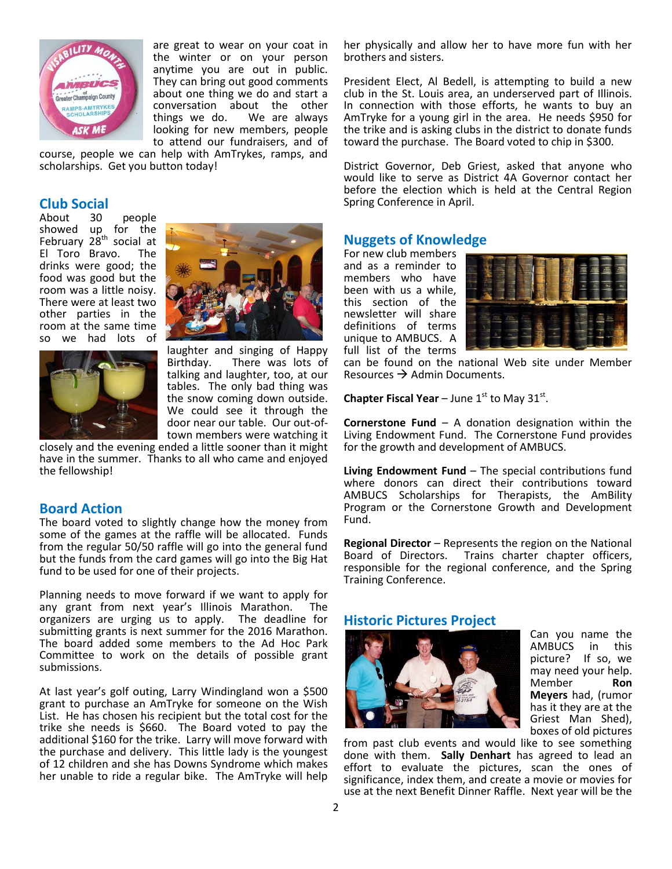

are great to wear on your coat in the winter or on your person anytime you are out in public. They can bring out good comments about one thing we do and start a conversation about the other things we do. We are always looking for new members, people to attend our fundraisers, and of

course, people we can help with AmTrykes, ramps, and scholarships. Get you button today!

# **Club Social**

people showed up for the February 28<sup>th</sup> social at El Toro Bravo. The drinks were good; the food was good but the room was a little noisy. There were at least two other parties in the room at the same time so we had lots of



laughter and singing of Happy<br>Birthday. There was lots of There was lots of talking and laughter, too, at our tables. The only bad thing was the snow coming down outside. We could see it through the door near our table. Our out-oftown members were watching it

closely and the evening ended a little sooner than it might have in the summer. Thanks to all who came and enjoyed the fellowship!

#### **Board Action**

The board voted to slightly change how the money from some of the games at the raffle will be allocated. Funds from the regular 50/50 raffle will go into the general fund but the funds from the card games will go into the Big Hat fund to be used for one of their projects.

Planning needs to move forward if we want to apply for any grant from next year's Illinois Marathon. The organizers are urging us to apply. The deadline for submitting grants is next summer for the 2016 Marathon. The board added some members to the Ad Hoc Park Committee to work on the details of possible grant submissions.

At last year's golf outing, Larry Windingland won a \$500 grant to purchase an AmTryke for someone on the Wish List. He has chosen his recipient but the total cost for the trike she needs is \$660. The Board voted to pay the additional \$160 for the trike. Larry will move forward with the purchase and delivery. This little lady is the youngest of 12 children and she has Downs Syndrome which makes her unable to ride a regular bike. The AmTryke will help her physically and allow her to have more fun with her brothers and sisters.

President Elect, Al Bedell, is attempting to build a new club in the St. Louis area, an underserved part of Illinois. In connection with those efforts, he wants to buy an AmTryke for a young girl in the area. He needs \$950 for the trike and is asking clubs in the district to donate funds toward the purchase. The Board voted to chip in \$300.

District Governor, Deb Griest, asked that anyone who would like to serve as District 4A Governor contact her before the election which is held at the Central Region Spring Conference in April.

### **Nuggets of Knowledge**

For new club members and as a reminder to members who have been with us a while, this section of the newsletter will share definitions of terms unique to AMBUCS. A full list of the terms



can be found on the national Web site under Member Resources  $\rightarrow$  Admin Documents.

**Chapter Fiscal Year** – June  $1^{st}$  to May  $31^{st}$ .

**Cornerstone Fund** – A donation designation within the Living Endowment Fund. The Cornerstone Fund provides for the growth and development of AMBUCS.

**Living Endowment Fund** – The special contributions fund where donors can direct their contributions toward AMBUCS Scholarships for Therapists, the AmBility Program or the Cornerstone Growth and Development Fund.

**Regional Director** – Represents the region on the National Board of Directors. Trains charter chapter officers, responsible for the regional conference, and the Spring Training Conference.

#### **Historic Pictures Project**



Can you name the AMBUCS in this picture? If so, we may need your help.<br>Member **Ron Member Meyers** had, (rumor has it they are at the Griest Man Shed), boxes of old pictures

from past club events and would like to see something done with them. **Sally Denhart** has agreed to lead an effort to evaluate the pictures, scan the ones of significance, index them, and create a movie or movies for use at the next Benefit Dinner Raffle. Next year will be the